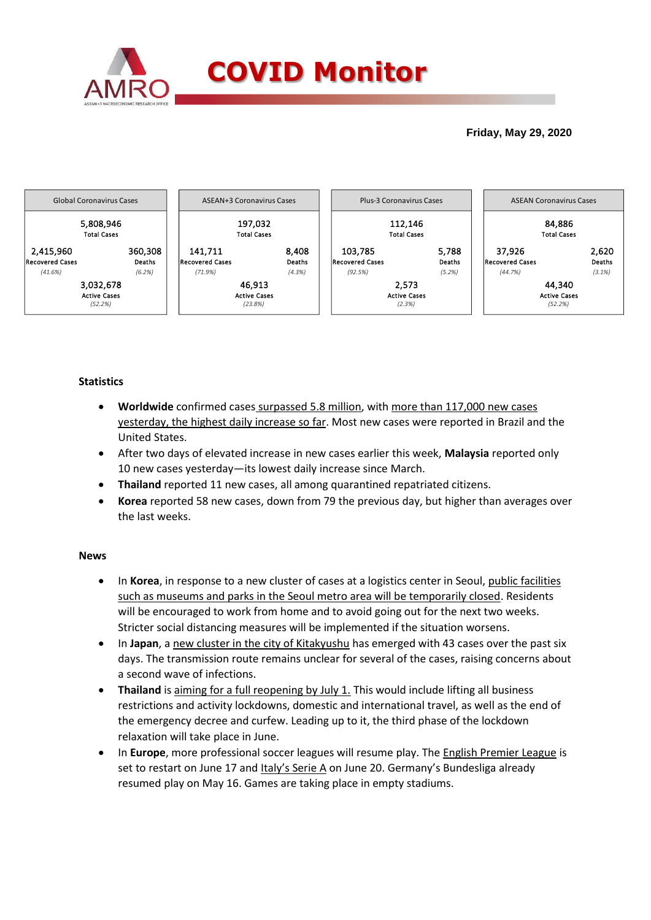

## **Friday, May 29, 2020**



## **Statistics**

- **Worldwide** confirmed cases surpassed 5.8 million, with more than 117,000 new cases yesterday, the highest daily increase so far. Most new cases were reported in Brazil and the United States.
- After two days of elevated increase in new cases earlier this week, **Malaysia** reported only 10 new cases yesterday—its lowest daily increase since March.
- **Thailand** reported 11 new cases, all among quarantined repatriated citizens.
- **Korea** reported 58 new cases, down from 79 the previous day, but higher than averages over the last weeks.

### **News**

- In **Korea**, in response to a new cluster of cases at a logistics center in Seoul, public facilities such as museums and parks in the Seoul metro area will be temporarily closed. Residents will be encouraged to work from home and to avoid going out for the next two weeks. Stricter social distancing measures will be implemented if the situation worsens.
- In **Japan**, a new cluster in the city of Kitakyushu has emerged with 43 cases over the past six days. The transmission route remains unclear for several of the cases, raising concerns about a second wave of infections.
- **Thailand** is aiming for a full reopening by July 1. This would include lifting all business restrictions and activity lockdowns, domestic and international travel, as well as the end of the emergency decree and curfew. Leading up to it, the third phase of the lockdown relaxation will take place in June.
- In **Europe**, more professional soccer leagues will resume play. The English Premier League is set to restart on June 17 and Italy's Serie A on June 20. Germany's Bundesliga already resumed play on May 16. Games are taking place in empty stadiums.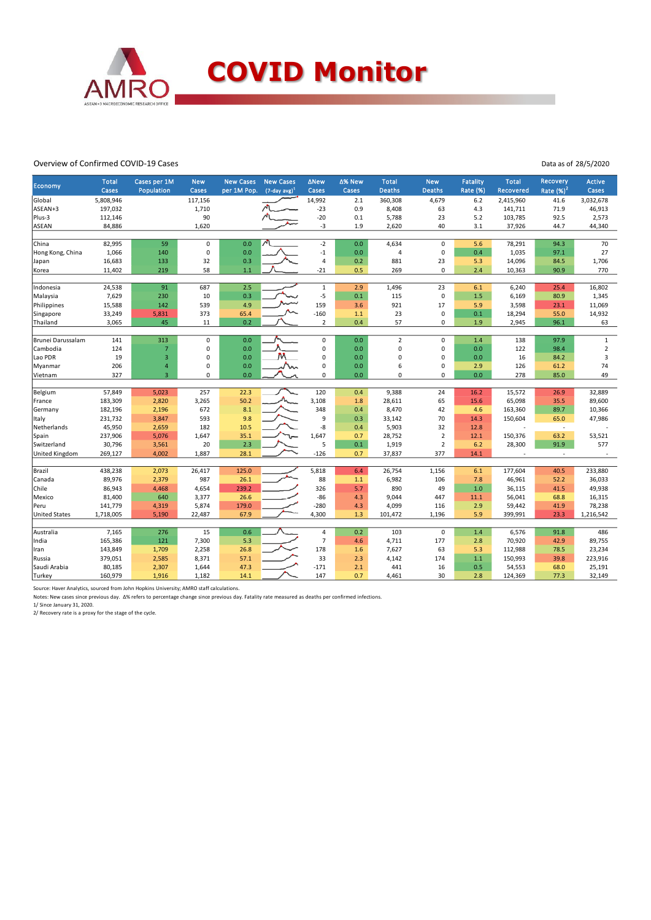

#### Overview of Confirmed COVID-19 Cases

Data as of 28/5/2020

| <b>Total</b><br>Cases per 1M<br><b>New Cases</b><br><b>New Cases</b><br>∆% New<br><b>Total</b><br><b>New</b><br><b>Fatality</b><br><b>Total</b><br>Recovery<br>Active<br><b>New</b><br><b>ANew</b><br>Economy<br>Rate $(%)2$<br>$(7$ -day avg) <sup>1</sup><br><b>Deaths</b><br>Rate (%)<br>Cases<br>Population<br>Cases<br>per 1M Pop.<br>Cases<br>Cases<br><b>Deaths</b><br><b>Recovered</b><br>Cases<br>Global<br>5,808,946<br>117,156<br>14,992<br>2.1<br>360,308<br>4,679<br>6.2<br>2,415,960<br>41.6<br>3,032,678<br>197,032<br>$-23$<br>0.9<br>46,913<br>ASEAN+3<br>1,710<br>8,408<br>63<br>4.3<br>141,711<br>71.9<br>Plus-3<br>90<br>$-20$<br>0.1<br>5,788<br>23<br>5.2<br>103,785<br>92.5<br>2,573<br>112,146<br>$-3$<br>1,620<br>1.9<br>40<br>3.1<br><b>ASEAN</b><br>84,886<br>2,620<br>37,926<br>44.7<br>44,340<br>82,995<br>59<br>$-2$<br>0.0<br>4,634<br>94.3<br>70<br>China<br>$\pmb{0}$<br>0.0<br>$\pmb{0}$<br>5.6<br>78,291<br>$\mathbf 0$<br>$\pmb{0}$<br>140<br>0.0<br>$-1$<br>0.0<br>0.4<br>1,035<br>97.1<br>27<br>Hong Kong, China<br>1,066<br>4<br>32<br>0.3<br>0.2<br>881<br>23<br>14,096<br>16,683<br>133<br>$\overline{4}$<br>5.3<br>84.5<br>1,706<br>Japan<br>219<br>58<br>$-21$<br>0.5<br>0<br>90.9<br>770<br>11,402<br>1.1<br>269<br>2.4<br>10,363<br>Korea<br>91<br>24,538<br>687<br>2.5<br>$\mathbf{1}$<br>2.9<br>1,496<br>23<br>6.1<br>25.4<br>16,802<br>Indonesia<br>6,240<br>0.3<br>7,629<br>230<br>10<br>$-5$<br>0.1<br>115<br>$\pmb{0}$<br>1.5<br>6,169<br>80.9<br>Malaysia<br>1,345<br>159<br>4.9<br>3.6<br>921<br>11,069<br>Philippines<br>15,588<br>142<br>539<br>17<br>5.9<br>3,598<br>23.1<br>373<br>$-160$<br>23<br>$\pmb{0}$<br>14,932<br>33,249<br>5,831<br>65.4<br>1.1<br>0.1<br>18,294<br>55.0<br>Singapore<br>3,065<br>45<br>0.2<br>$\overline{2}$<br>57<br>0<br>63<br>Thailand<br>11<br>0.4<br>1.9<br>2,945<br>96.1 |  |  |  |  |  |  |  |
|-------------------------------------------------------------------------------------------------------------------------------------------------------------------------------------------------------------------------------------------------------------------------------------------------------------------------------------------------------------------------------------------------------------------------------------------------------------------------------------------------------------------------------------------------------------------------------------------------------------------------------------------------------------------------------------------------------------------------------------------------------------------------------------------------------------------------------------------------------------------------------------------------------------------------------------------------------------------------------------------------------------------------------------------------------------------------------------------------------------------------------------------------------------------------------------------------------------------------------------------------------------------------------------------------------------------------------------------------------------------------------------------------------------------------------------------------------------------------------------------------------------------------------------------------------------------------------------------------------------------------------------------------------------------------------------------------------------------------------------------------------------------------------------------------------------------------------------------------------------------|--|--|--|--|--|--|--|
|                                                                                                                                                                                                                                                                                                                                                                                                                                                                                                                                                                                                                                                                                                                                                                                                                                                                                                                                                                                                                                                                                                                                                                                                                                                                                                                                                                                                                                                                                                                                                                                                                                                                                                                                                                                                                                                                   |  |  |  |  |  |  |  |
|                                                                                                                                                                                                                                                                                                                                                                                                                                                                                                                                                                                                                                                                                                                                                                                                                                                                                                                                                                                                                                                                                                                                                                                                                                                                                                                                                                                                                                                                                                                                                                                                                                                                                                                                                                                                                                                                   |  |  |  |  |  |  |  |
|                                                                                                                                                                                                                                                                                                                                                                                                                                                                                                                                                                                                                                                                                                                                                                                                                                                                                                                                                                                                                                                                                                                                                                                                                                                                                                                                                                                                                                                                                                                                                                                                                                                                                                                                                                                                                                                                   |  |  |  |  |  |  |  |
|                                                                                                                                                                                                                                                                                                                                                                                                                                                                                                                                                                                                                                                                                                                                                                                                                                                                                                                                                                                                                                                                                                                                                                                                                                                                                                                                                                                                                                                                                                                                                                                                                                                                                                                                                                                                                                                                   |  |  |  |  |  |  |  |
|                                                                                                                                                                                                                                                                                                                                                                                                                                                                                                                                                                                                                                                                                                                                                                                                                                                                                                                                                                                                                                                                                                                                                                                                                                                                                                                                                                                                                                                                                                                                                                                                                                                                                                                                                                                                                                                                   |  |  |  |  |  |  |  |
|                                                                                                                                                                                                                                                                                                                                                                                                                                                                                                                                                                                                                                                                                                                                                                                                                                                                                                                                                                                                                                                                                                                                                                                                                                                                                                                                                                                                                                                                                                                                                                                                                                                                                                                                                                                                                                                                   |  |  |  |  |  |  |  |
|                                                                                                                                                                                                                                                                                                                                                                                                                                                                                                                                                                                                                                                                                                                                                                                                                                                                                                                                                                                                                                                                                                                                                                                                                                                                                                                                                                                                                                                                                                                                                                                                                                                                                                                                                                                                                                                                   |  |  |  |  |  |  |  |
|                                                                                                                                                                                                                                                                                                                                                                                                                                                                                                                                                                                                                                                                                                                                                                                                                                                                                                                                                                                                                                                                                                                                                                                                                                                                                                                                                                                                                                                                                                                                                                                                                                                                                                                                                                                                                                                                   |  |  |  |  |  |  |  |
|                                                                                                                                                                                                                                                                                                                                                                                                                                                                                                                                                                                                                                                                                                                                                                                                                                                                                                                                                                                                                                                                                                                                                                                                                                                                                                                                                                                                                                                                                                                                                                                                                                                                                                                                                                                                                                                                   |  |  |  |  |  |  |  |
|                                                                                                                                                                                                                                                                                                                                                                                                                                                                                                                                                                                                                                                                                                                                                                                                                                                                                                                                                                                                                                                                                                                                                                                                                                                                                                                                                                                                                                                                                                                                                                                                                                                                                                                                                                                                                                                                   |  |  |  |  |  |  |  |
|                                                                                                                                                                                                                                                                                                                                                                                                                                                                                                                                                                                                                                                                                                                                                                                                                                                                                                                                                                                                                                                                                                                                                                                                                                                                                                                                                                                                                                                                                                                                                                                                                                                                                                                                                                                                                                                                   |  |  |  |  |  |  |  |
|                                                                                                                                                                                                                                                                                                                                                                                                                                                                                                                                                                                                                                                                                                                                                                                                                                                                                                                                                                                                                                                                                                                                                                                                                                                                                                                                                                                                                                                                                                                                                                                                                                                                                                                                                                                                                                                                   |  |  |  |  |  |  |  |
|                                                                                                                                                                                                                                                                                                                                                                                                                                                                                                                                                                                                                                                                                                                                                                                                                                                                                                                                                                                                                                                                                                                                                                                                                                                                                                                                                                                                                                                                                                                                                                                                                                                                                                                                                                                                                                                                   |  |  |  |  |  |  |  |
|                                                                                                                                                                                                                                                                                                                                                                                                                                                                                                                                                                                                                                                                                                                                                                                                                                                                                                                                                                                                                                                                                                                                                                                                                                                                                                                                                                                                                                                                                                                                                                                                                                                                                                                                                                                                                                                                   |  |  |  |  |  |  |  |
|                                                                                                                                                                                                                                                                                                                                                                                                                                                                                                                                                                                                                                                                                                                                                                                                                                                                                                                                                                                                                                                                                                                                                                                                                                                                                                                                                                                                                                                                                                                                                                                                                                                                                                                                                                                                                                                                   |  |  |  |  |  |  |  |
|                                                                                                                                                                                                                                                                                                                                                                                                                                                                                                                                                                                                                                                                                                                                                                                                                                                                                                                                                                                                                                                                                                                                                                                                                                                                                                                                                                                                                                                                                                                                                                                                                                                                                                                                                                                                                                                                   |  |  |  |  |  |  |  |
| 313<br>$\pmb{0}$<br>0.0<br>$\mathbf 0$<br>0.0<br>$\overline{2}$<br>$\mathbf 0$<br>1.4<br>97.9<br>Brunei Darussalam<br>141<br>138<br>$\mathbf{1}$                                                                                                                                                                                                                                                                                                                                                                                                                                                                                                                                                                                                                                                                                                                                                                                                                                                                                                                                                                                                                                                                                                                                                                                                                                                                                                                                                                                                                                                                                                                                                                                                                                                                                                                  |  |  |  |  |  |  |  |
| $\overline{7}$<br>0<br>0.0<br>$\mathbf 0$<br>0.0<br>$\overline{0}$<br>0<br>122<br>98.4<br>$\overline{2}$<br>Cambodia<br>124<br>0.0                                                                                                                                                                                                                                                                                                                                                                                                                                                                                                                                                                                                                                                                                                                                                                                                                                                                                                                                                                                                                                                                                                                                                                                                                                                                                                                                                                                                                                                                                                                                                                                                                                                                                                                                |  |  |  |  |  |  |  |
| $\overline{3}$<br>0<br>0.0<br>0.0<br>$\overline{0}$<br>$\mathbf 0$<br>16<br>3<br>Lao PDR<br>19<br>$\mathbf 0$<br>0.0<br>84.2                                                                                                                                                                                                                                                                                                                                                                                                                                                                                                                                                                                                                                                                                                                                                                                                                                                                                                                                                                                                                                                                                                                                                                                                                                                                                                                                                                                                                                                                                                                                                                                                                                                                                                                                      |  |  |  |  |  |  |  |
| $\mathbf 0$<br>6<br>$\mathbf 0$<br>126<br>74<br>206<br>$\overline{4}$<br>0.0<br>nn.<br>$\mathbf 0$<br>0.0<br>2.9<br>61.2<br>Myanmar                                                                                                                                                                                                                                                                                                                                                                                                                                                                                                                                                                                                                                                                                                                                                                                                                                                                                                                                                                                                                                                                                                                                                                                                                                                                                                                                                                                                                                                                                                                                                                                                                                                                                                                               |  |  |  |  |  |  |  |
| 327<br>$\overline{3}$<br>$\mathbf 0$<br>0.0<br>$\mathbf 0$<br>$\Omega$<br>$\Omega$<br>0.0<br>85.0<br>49<br>0.0<br>278<br>Vietnam                                                                                                                                                                                                                                                                                                                                                                                                                                                                                                                                                                                                                                                                                                                                                                                                                                                                                                                                                                                                                                                                                                                                                                                                                                                                                                                                                                                                                                                                                                                                                                                                                                                                                                                                  |  |  |  |  |  |  |  |
|                                                                                                                                                                                                                                                                                                                                                                                                                                                                                                                                                                                                                                                                                                                                                                                                                                                                                                                                                                                                                                                                                                                                                                                                                                                                                                                                                                                                                                                                                                                                                                                                                                                                                                                                                                                                                                                                   |  |  |  |  |  |  |  |
| 57,849<br>257<br>22.3<br>120<br>0.4<br>9,388<br>26.9<br>32,889<br>Belgium<br>5,023<br>24<br>16.2<br>15,572                                                                                                                                                                                                                                                                                                                                                                                                                                                                                                                                                                                                                                                                                                                                                                                                                                                                                                                                                                                                                                                                                                                                                                                                                                                                                                                                                                                                                                                                                                                                                                                                                                                                                                                                                        |  |  |  |  |  |  |  |
| 183,309<br>3,265<br>50.2<br>3,108<br>65<br>15.6<br>65,098<br>35.5<br>89,600<br>2,820<br>1.8<br>28,611<br>France                                                                                                                                                                                                                                                                                                                                                                                                                                                                                                                                                                                                                                                                                                                                                                                                                                                                                                                                                                                                                                                                                                                                                                                                                                                                                                                                                                                                                                                                                                                                                                                                                                                                                                                                                   |  |  |  |  |  |  |  |
| 672<br>8.1<br>348<br>182,196<br>2,196<br>0.4<br>8,470<br>42<br>163,360<br>89.7<br>10,366<br>Germany<br>4.6                                                                                                                                                                                                                                                                                                                                                                                                                                                                                                                                                                                                                                                                                                                                                                                                                                                                                                                                                                                                                                                                                                                                                                                                                                                                                                                                                                                                                                                                                                                                                                                                                                                                                                                                                        |  |  |  |  |  |  |  |
| 9.8<br>70<br>47,986<br>231,732<br>3,847<br>593<br>9<br>0.3<br>33,142<br>150,604<br>65.0<br>Italy<br>14.3                                                                                                                                                                                                                                                                                                                                                                                                                                                                                                                                                                                                                                                                                                                                                                                                                                                                                                                                                                                                                                                                                                                                                                                                                                                                                                                                                                                                                                                                                                                                                                                                                                                                                                                                                          |  |  |  |  |  |  |  |
| 45,950<br>182<br>$-8$<br>5,903<br>32<br>2,659<br>10.5<br>0.4<br>12.8<br>Netherlands<br>$\sim$                                                                                                                                                                                                                                                                                                                                                                                                                                                                                                                                                                                                                                                                                                                                                                                                                                                                                                                                                                                                                                                                                                                                                                                                                                                                                                                                                                                                                                                                                                                                                                                                                                                                                                                                                                     |  |  |  |  |  |  |  |
| 237,906<br>1,647<br>35.1<br>1,647<br>$\mathbf 2$<br>63.2<br>53,521<br>Spain<br>5,076<br>0.7<br>28,752<br>12.1<br>150,376                                                                                                                                                                                                                                                                                                                                                                                                                                                                                                                                                                                                                                                                                                                                                                                                                                                                                                                                                                                                                                                                                                                                                                                                                                                                                                                                                                                                                                                                                                                                                                                                                                                                                                                                          |  |  |  |  |  |  |  |
| 2.3<br>20<br>$\overline{2}$<br>28,300<br>91.9<br>577<br>Switzerland<br>30,796<br>3,561<br>5<br>0.1<br>1,919<br>6.2                                                                                                                                                                                                                                                                                                                                                                                                                                                                                                                                                                                                                                                                                                                                                                                                                                                                                                                                                                                                                                                                                                                                                                                                                                                                                                                                                                                                                                                                                                                                                                                                                                                                                                                                                |  |  |  |  |  |  |  |
| 1,887<br>28.1<br>$-126$<br>377<br><b>United Kingdom</b><br>269,127<br>4,002<br>0.7<br>37,837<br>14.1<br>$\overline{\phantom{a}}$<br>$\bar{a}$                                                                                                                                                                                                                                                                                                                                                                                                                                                                                                                                                                                                                                                                                                                                                                                                                                                                                                                                                                                                                                                                                                                                                                                                                                                                                                                                                                                                                                                                                                                                                                                                                                                                                                                     |  |  |  |  |  |  |  |
| Brazil<br>438,238<br>26,417<br>5,818<br>2,073<br>125.0<br>6.4<br>26,754<br>1,156<br>177,604<br>40.5<br>233,880<br>6.1                                                                                                                                                                                                                                                                                                                                                                                                                                                                                                                                                                                                                                                                                                                                                                                                                                                                                                                                                                                                                                                                                                                                                                                                                                                                                                                                                                                                                                                                                                                                                                                                                                                                                                                                             |  |  |  |  |  |  |  |
| 89,976<br>987<br>26.1<br>88<br>36,033<br>Canada<br>2,379<br>$1.1$<br>6,982<br>106<br>7.8<br>46,961<br>52.2                                                                                                                                                                                                                                                                                                                                                                                                                                                                                                                                                                                                                                                                                                                                                                                                                                                                                                                                                                                                                                                                                                                                                                                                                                                                                                                                                                                                                                                                                                                                                                                                                                                                                                                                                        |  |  |  |  |  |  |  |
| Chile<br>86,943<br>4,468<br>4,654<br>239.2<br>326<br>5.7<br>890<br>49<br>1.0<br>36,115<br>41.5<br>49,938                                                                                                                                                                                                                                                                                                                                                                                                                                                                                                                                                                                                                                                                                                                                                                                                                                                                                                                                                                                                                                                                                                                                                                                                                                                                                                                                                                                                                                                                                                                                                                                                                                                                                                                                                          |  |  |  |  |  |  |  |
| 26.6<br>$-86$<br>81,400<br>640<br>3,377<br>4.3<br>9,044<br>447<br>11.1<br>56,041<br>68.8<br>16,315<br>Mexico                                                                                                                                                                                                                                                                                                                                                                                                                                                                                                                                                                                                                                                                                                                                                                                                                                                                                                                                                                                                                                                                                                                                                                                                                                                                                                                                                                                                                                                                                                                                                                                                                                                                                                                                                      |  |  |  |  |  |  |  |
| $-280$<br>141,779<br>5,874<br>179.0<br>4.3<br>4,099<br>2.9<br>41.9<br>78,238<br>Peru<br>4,319<br>116<br>59,442                                                                                                                                                                                                                                                                                                                                                                                                                                                                                                                                                                                                                                                                                                                                                                                                                                                                                                                                                                                                                                                                                                                                                                                                                                                                                                                                                                                                                                                                                                                                                                                                                                                                                                                                                    |  |  |  |  |  |  |  |
| 67.9<br>1,718,005<br>5,190<br>22,487<br>4,300<br>1.3<br>1,196<br>5.9<br>23.3<br>1,216,542<br><b>United States</b><br>101,472<br>399,991                                                                                                                                                                                                                                                                                                                                                                                                                                                                                                                                                                                                                                                                                                                                                                                                                                                                                                                                                                                                                                                                                                                                                                                                                                                                                                                                                                                                                                                                                                                                                                                                                                                                                                                           |  |  |  |  |  |  |  |
|                                                                                                                                                                                                                                                                                                                                                                                                                                                                                                                                                                                                                                                                                                                                                                                                                                                                                                                                                                                                                                                                                                                                                                                                                                                                                                                                                                                                                                                                                                                                                                                                                                                                                                                                                                                                                                                                   |  |  |  |  |  |  |  |
| 276<br>15<br>0.6<br>103<br>$\mathbf 0$<br>91.8<br>486<br>Australia<br>7,165<br>4<br>0.2<br>1.4<br>6,576                                                                                                                                                                                                                                                                                                                                                                                                                                                                                                                                                                                                                                                                                                                                                                                                                                                                                                                                                                                                                                                                                                                                                                                                                                                                                                                                                                                                                                                                                                                                                                                                                                                                                                                                                           |  |  |  |  |  |  |  |
| 165,386<br>121<br>7,300<br>5.3<br>$\overline{7}$<br>4,711<br>177<br>89,755<br>India<br>4.6<br>2.8<br>70,920<br>42.9                                                                                                                                                                                                                                                                                                                                                                                                                                                                                                                                                                                                                                                                                                                                                                                                                                                                                                                                                                                                                                                                                                                                                                                                                                                                                                                                                                                                                                                                                                                                                                                                                                                                                                                                               |  |  |  |  |  |  |  |
| 143,849<br>1,709<br>2,258<br>26.8<br>178<br>7,627<br>63<br>112,988<br>78.5<br>23,234<br>Iran<br>1.6<br>5.3                                                                                                                                                                                                                                                                                                                                                                                                                                                                                                                                                                                                                                                                                                                                                                                                                                                                                                                                                                                                                                                                                                                                                                                                                                                                                                                                                                                                                                                                                                                                                                                                                                                                                                                                                        |  |  |  |  |  |  |  |
| 33<br>223,916<br>379,051<br>2,585<br>8,371<br>57.1<br>2.3<br>174<br>1.1<br>150,993<br>39.8<br>Russia<br>4,142                                                                                                                                                                                                                                                                                                                                                                                                                                                                                                                                                                                                                                                                                                                                                                                                                                                                                                                                                                                                                                                                                                                                                                                                                                                                                                                                                                                                                                                                                                                                                                                                                                                                                                                                                     |  |  |  |  |  |  |  |
| $-171$<br>2,307<br>47.3<br>2.1<br>441<br>16<br>0.5<br>68.0<br>25,191<br>Saudi Arabia<br>80,185<br>1,644<br>54,553                                                                                                                                                                                                                                                                                                                                                                                                                                                                                                                                                                                                                                                                                                                                                                                                                                                                                                                                                                                                                                                                                                                                                                                                                                                                                                                                                                                                                                                                                                                                                                                                                                                                                                                                                 |  |  |  |  |  |  |  |
| 160,979<br>1,182<br>147<br>0.7<br>30<br>77.3<br>32,149<br>1,916<br>14.1<br>4,461<br>2.8<br>124,369<br>Turkey                                                                                                                                                                                                                                                                                                                                                                                                                                                                                                                                                                                                                                                                                                                                                                                                                                                                                                                                                                                                                                                                                                                                                                                                                                                                                                                                                                                                                                                                                                                                                                                                                                                                                                                                                      |  |  |  |  |  |  |  |

Source: Haver Analytics, sourced from John Hopkins University; AMRO staff calculations.

Notes: New cases since previous day. Δ% refers to percentage change since previous day. Fatality rate measured as deaths per confirmed infections. 1/ Since January 31, 2020.

2/ Recovery rate is a proxy for the stage of the cycle.